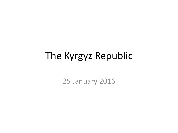#### The Kyrgyz Republic

25 January 2016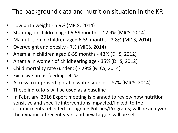#### The background data and nutrition situation in the KR

- Low birth weight 5.9% (MICS, 2014)
- Stunting in children aged 6-59 months 12.9% (MICS, 2014)
- Malnutrition in children aged 6-59 months 2.8% (MICS, 2014)
- Overweight and obesity 7% (MICS, 2014)
- Anemia in children aged 6-59 months 43% (DHS, 2012)
- Anemia in women of childbearing age 35% (DHS, 2012)
- Child mortality rate (under 5) 29% (MICS, 2014)
- Exclusive breastfeeding 41%
- Access to improved potable water sources 87% (MICS, 2014)
- These indicators will be used as a baseline
- In February, 2016 Expert meeting is planned to review how nutrition sensitive and specific interventions impacted/linked to the commitments reflected in ongoing Policies/Programs; will be analyzed the dynamic of recent years and new targets will be set.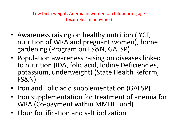Low birth weight; Anemia in women of childbearing age (examples of activities)

- Awareness raising on healthy nutrition (IYCF, nutrition of WRA and pregnant women), home gardening (Program on FS&N, GAFSP)
- Population awareness raising on diseases linked to nutrition (IDA, folic acid, Iodine Deficiencies, potassium, underweight) (State Health Reform, FS&N)
- Iron and Folic acid supplementation (GAFSP)
- Iron supplementation for treatment of anemia for WRA (Co-payment within MMHI Fund)
- Flour fortification and salt iodization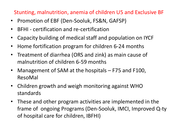#### Stunting, malnutrition, anemia of children U5 and Exclusive BF

- Promotion of EBF (Den-Sooluk, FS&N, GAFSP)
- BFHI certification and re-certification
- Capacity building of medical staff and population on IYCF
- Home fortification program for children 6-24 months
- Treatment of diarrhea (ORS and zink) as main cause of malnutrition of children 6-59 months
- Management of SAM at the hospitals F75 and F100, ResoMal
- Children growth and weigh monitoring against WHO standards
- These and other program activities are implemented in the frame of ongoing Programs (Den-Sooluk, IMCI, Improved Q-ty of hospital care for children, IBFHI)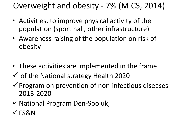Overweight and obesity - 7% (MICS, 2014)

- Activities, to improve physical activity of the population (sport hall, other infrastructure)
- Awareness raising of the population on risk of obesity
- These activities are implemented in the frame
- $\checkmark$  of the National strategy Health 2020
- $\checkmark$  Program on prevention of non-infectious diseases 2013-2020
- National Program Den-Sooluk,
- $\checkmark$ FS&N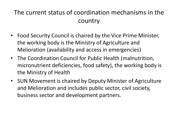#### The current status of coordination mechanisms in the country

- Food Security Council is chaired by the Vice Prime Minister, the working body is the Ministry of Agriculture and Melioration (availability and access in emergencies)
- The Coordination Council for Public Health (malnutrition, micronutrient deficiencies, food safety), the working body is the Ministry of Health
- SUN Movement is chaired by Deputy Minister of Agriculture and Melioration and includes public sector, civil society, business sector and development partners.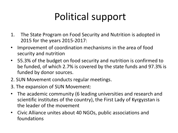# Political support

- 1. The State Program on Food Security and Nutrition is adopted in 2015 for the years 2015-2017:
- Improvement of coordination mechanisms in the area of food security and nutrition
- 55.3% of the budget on food security and nutrition is confirmed to be funded, of which 2.7% is covered by the state funds and 97.3% is funded by donor sources.
- 2. SUN Movement conducts regular meetings.
- 3. The expansion of SUN Movement:
- The academic community (6 leading universities and research and scientific institutes of the country), the First Lady of Kyrgyzstan is the leader of the movement
- Civic Alliance unites about 40 NGOs, public associations and foundations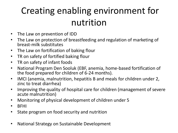#### Creating enabling environment for nutrition

- The Law on prevention of IDD
- The Law on protection of breastfeeding and regulation of marketing of breast-milk substitutes
- The Law on fortification of baking flour
- TR on safety of fortified baking flour
- TR on safety of infant foods
- National Program Den Sooluk (EBF, anemia, home-based fortification of the food prepared for children of 6-24 months).
- IMCI (anemia, malnutrition, hepatitis B and meals for children under 2, zinc to treat diarrhea)
- Improving the quality of hospital care for children (management of severe acute malnutrition)
- Monitoring of physical development of children under 5
- BFHI
- State program on food security and nutrition
- National Strategy on Sustainable Development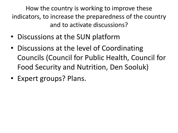How the country is working to improve these indicators, to increase the preparedness of the country and to activate discussions?

- Discussions at the SUN platform
- Discussions at the level of Coordinating Councils (Council for Public Health, Council for Food Security and Nutrition, Den Sooluk)
- Expert groups? Plans.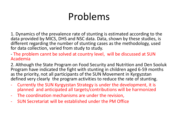## Problems

1. Dynamics of the prevalence rate of stunting is estimated according to the data provided by MICS, DHS and NSC data. Data, shown by these studies, is different regarding the number of stunting cases as the methodology, used for data collection, varied from study to study.

- The problem cannt be solved at country level, will be discussed at SUN Academia

2. Although the State Program on Food Security and Nutrition and Den Sooluk Program have indicated the fight with stunting in children aged 6-59 months as the priority, not all participants of the SUN Movement in Kyrgyzstan defined very clearly the program activities to reduce the rate of stunting.

- Currently the SUN Kyrgyzstan Strategy is under the development, it is planned and anticipated all targets/contributions will be harmonized
- The coordination mechanisms are under the revision,
- SUN Secretariat will be established under the PM Office